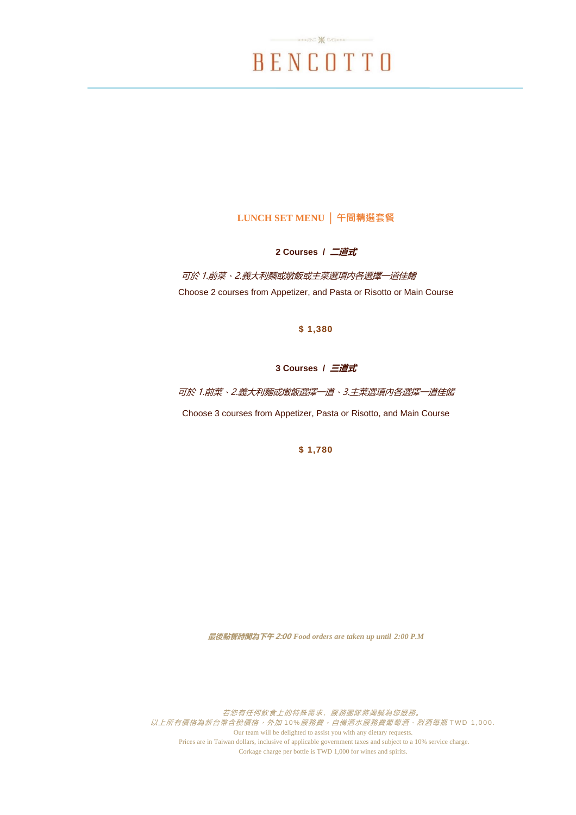# BENCOTTO

 $... 80$   $* 00...$ 

## **LUNCH SET MENU │ 午間精選套餐**

**2 Courses / 二道式**

可於 1.前菜、2.義大利麵或燉飯或主菜選項內各選擇一道佳餚 Choose 2 courses from Appetizer, and Pasta or Risotto or Main Course

**\$ 1,380**

## **3 Courses / 三道式**

可於 1.前菜、2.義大利麵或燉飯選擇一道、3.主菜選項內各選擇一道佳餚 Choose 3 courses from Appetizer, Pasta or Risotto, and Main Course

**\$ 1,780**

**最後點餐時間為下午 2:00** *Food orders are taken up until 2:00 P.M*

若您有任何飲食上的特殊需求,服務團隊將竭誠為您服務。 以上所有價格為新台幣含稅價格,外加10%服務費。自備酒水服務費葡萄酒、烈酒每瓶 TWD 1,000. Our team will be delighted to assist you with any dietary requests. Prices are in Taiwan dollars, inclusive of applicable government taxes and subject to a 10% service charge. Corkage charge per bottle is TWD 1,000 for wines and spirits.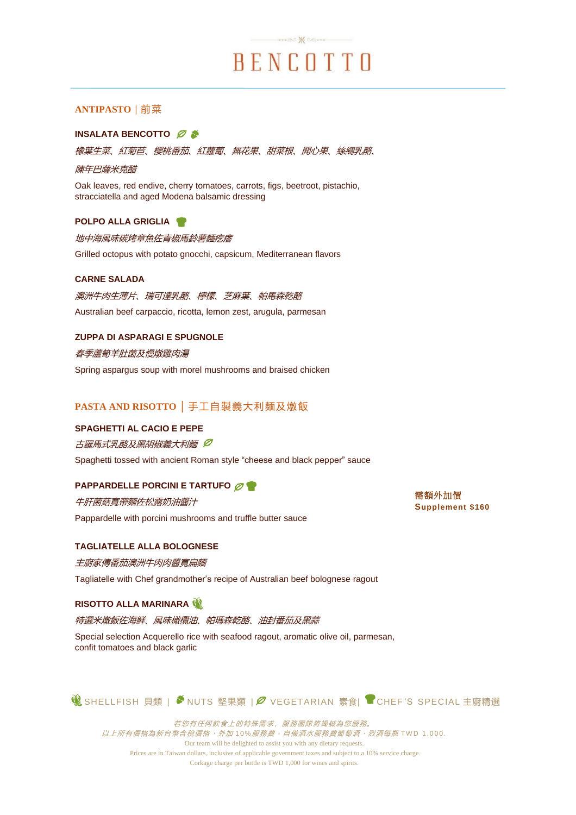# BENCOTTO

 $\rightarrow$ 

## **ANTIPASTO │** 前菜

### **INSALATA BENCOTTO**

橡葉生菜、紅菊苣、櫻桃番茄、紅蘿蔔、無花果、甜菜根、開心果、絲綢乳酪、

#### 陳年巴薩米克醋

Oak leaves, red endive, cherry tomatoes, carrots, figs, beetroot, pistachio, stracciatella and aged Modena balsamic dressing

#### **POLPO ALLA GRIGLIA**

地中海風味碳烤章魚佐青椒馬鈴薯麵疙瘩

Grilled octopus with potato gnocchi, capsicum, Mediterranean flavors

#### **CARNE SALADA**

澳洲牛肉生薄片、瑞可達乳酪、檸檬、芝麻葉、帕馬森乾酪 Australian beef carpaccio, ricotta, lemon zest, arugula, parmesan

## **ZUPPA DI ASPARAGI E SPUGNOLE**

#### 春季蘆筍羊肚菌及慢燉雞肉湯

Spring aspargus soup with morel mushrooms and braised chicken

## **PASTA AND RISOTTO │** 手工自製義大利麵及燉飯

#### **SPAGHETTI AL CACIO E PEPE**

古羅馬式乳酪及黑胡椒義大利麵 Ø

Spaghetti tossed with ancient Roman style "cheese and black pepper" sauce

## **PAPPARDELLE PORCINI E TARTUFO**

牛肝菌菇寬帶麵佐松露奶油醬汁 Pappardelle with porcini mushrooms and truffle butter sauce

## **TAGLIATELLE ALLA BOLOGNESE**

#### 主廚家傳番茄澳洲牛肉肉醬寬扁麵

Tagliatelle with Chef grandmother's recipe of Australian beef bolognese ragout

#### **RISOTTO ALLA MARINARA**

#### 特選米燉飯佐海鮮、風味橄欖油、帕瑪森乾酪、油封番茄及黑蒜

Special selection Acquerello rice with seafood ragout, aromatic olive oil, parmesan, confit tomatoes and black garlic

**14 SHELLFISH 貝類 | <sup>◆</sup>NUTS 堅果類 | Ø VEGETARIAN 素食| ■CHEF'S SPECIAL 主廚精選** 

若您有任何飲食上的特殊需求,服務團隊將竭誠為您服務。 以上所有價格為新台幣含稅價格,外加10%服務費。自備酒水服務費葡萄酒、烈酒每瓶 TWD 1,000. Our team will be delighted to assist you with any dietary requests. Prices are in Taiwan dollars, inclusive of applicable government taxes and subject to a 10% service charge. Corkage charge per bottle is TWD 1,000 for wines and spirits.

需額外加價 **Supplement \$160**